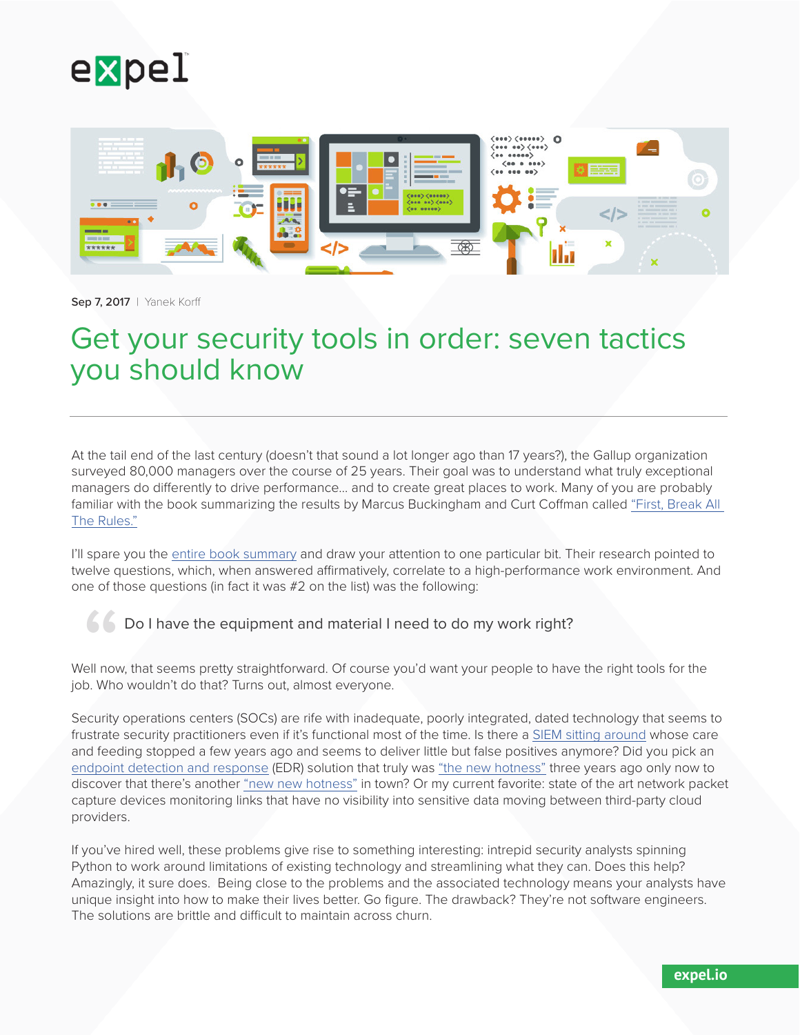



Sep 7, 2017 | Yanek Korff

# Get your security tools in order: seven tactics you should know

At the tail end of the last century (doesn't that sound a lot longer ago than 17 years?), the Gallup organization surveyed 80,000 managers over the course of 25 years. Their goal was to understand what truly exceptional managers do differently to drive performance… and to create great places to work. Many of you are probably familiar with the book summarizing the results by Marcus Buckingham and Curt Coffman called ["First, Break All](https://www.amazon.com/First-Break-All-Rules-Differently/dp/B002IU6LR6)  [The Rules."](https://www.amazon.com/First-Break-All-Rules-Differently/dp/B002IU6LR6)

I'll spare you the [entire book summary](http://www.thetentruths.com.au/Downloads/First_break_all_the_rules_exec_summary.pdf) and draw your attention to one particular bit. Their research pointed to twelve questions, which, when answered affirmatively, correlate to a high-performance work environment. And one of those questions (in fact it was #2 on the list) was the following:

#### Do I have the equipment and material I need to do my work right?

Well now, that seems pretty straightforward. Of course you'd want your people to have the right tools for the job. Who wouldn't do that? Turns out, almost everyone. "

Security operations centers (SOCs) are rife with inadequate, poorly integrated, dated technology that seems to frustrate security practitioners even if it's functional most of the time. Is there a [SIEM sitting around](http://blogs.gartner.com/anton-chuvakin/2017/08/07/is-siem-the-best-threat-detection-technology-ever/) whose care and feeding stopped a few years ago and seems to deliver little but false positives anymore? Did you pick an [endpoint detection and response](http://blogs.gartner.com/anton-chuvakin/2013/07/26/named-endpoint-threat-detection-response/) (EDR) solution that truly was ["the new hotness"](https://www.darkreading.com/endpoint/the-rebirth-of-endpoint-security/d/d-id/1322775) three years ago only now to discover that there's another ["new new hotness"](https://www.darkreading.com/endpoint/antivirus-from-stand-alone-product-to-endpoint-feature/d/d-id/1329726) in town? Or my current favorite: state of the art network packet capture devices monitoring links that have no visibility into sensitive data moving between third-party cloud providers.

If you've hired well, these problems give rise to something interesting: intrepid security analysts spinning Python to work around limitations of existing technology and streamlining what they can. Does this help? Amazingly, it sure does. Being close to the problems and the associated technology means your analysts have unique insight into how to make their lives better. Go figure. The drawback? They're not software engineers. The solutions are brittle and difficult to maintain across churn.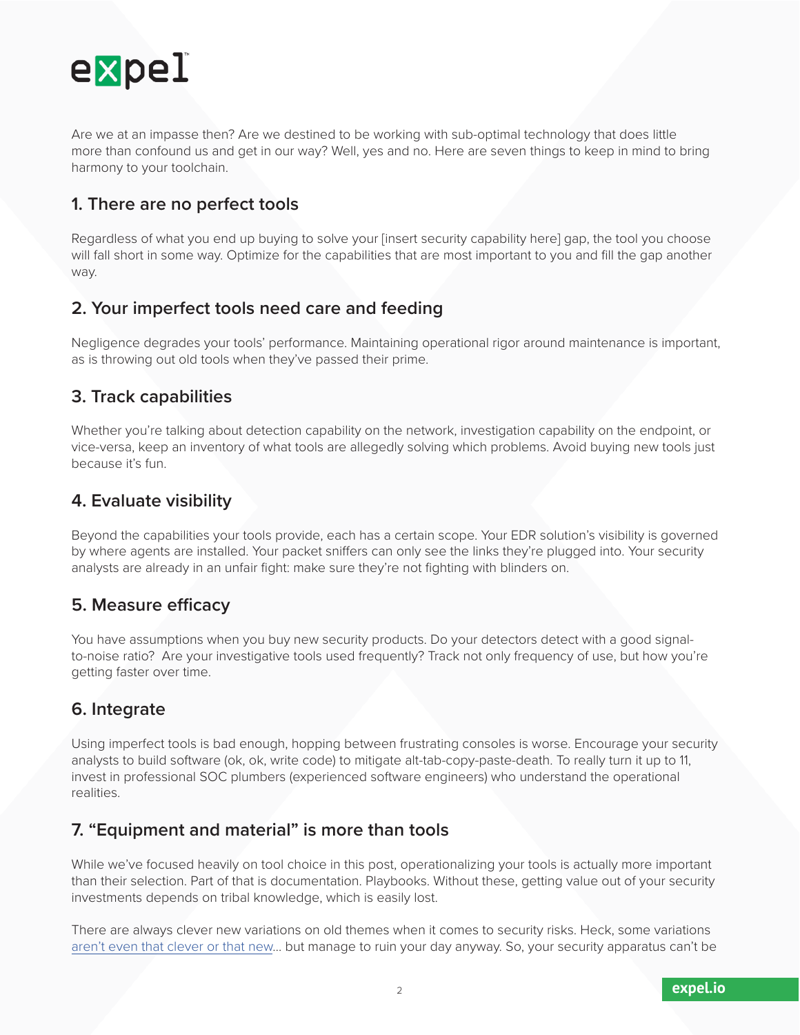

Are we at an impasse then? Are we destined to be working with sub-optimal technology that does little more than confound us and get in our way? Well, yes and no. Here are seven things to keep in mind to bring harmony to your toolchain.

# **1. There are no perfect tools**

Regardless of what you end up buying to solve your [insert security capability here] gap, the tool you choose will fall short in some way. Optimize for the capabilities that are most important to you and fill the gap another way.

#### **2. Your imperfect tools need care and feeding**

Negligence degrades your tools' performance. Maintaining operational rigor around maintenance is important, as is throwing out old tools when they've passed their prime.

#### **3. Track capabilities**

Whether you're talking about detection capability on the network, investigation capability on the endpoint, or vice-versa, keep an inventory of what tools are allegedly solving which problems. Avoid buying new tools just because it's fun.

# **4. Evaluate visibility**

Beyond the capabilities your tools provide, each has a certain scope. Your EDR solution's visibility is governed by where agents are installed. Your packet sniffers can only see the links they're plugged into. Your security analysts are already in an unfair fight: make sure they're not fighting with blinders on.

# **5. Measure efficacy**

You have assumptions when you buy new security products. Do your detectors detect with a good signalto-noise ratio? Are your investigative tools used frequently? Track not only frequency of use, but how you're getting faster over time.

# **6. Integrate**

Using imperfect tools is bad enough, hopping between frustrating consoles is worse. Encourage your security analysts to build software (ok, ok, write code) to mitigate alt-tab-copy-paste-death. To really turn it up to 11, invest in professional SOC plumbers (experienced software engineers) who understand the operational realities.

# **7. "Equipment and material" is more than tools**

While we've focused heavily on tool choice in this post, operationalizing your tools is actually more important than their selection. Part of that is documentation. Playbooks. Without these, getting value out of your security investments depends on tribal knowledge, which is easily lost.

There are always clever new variations on old themes when it comes to security risks. Heck, some variations [aren't even that clever or that new…](https://xkcd.com/327/) but manage to ruin your day anyway. So, your security apparatus can't be